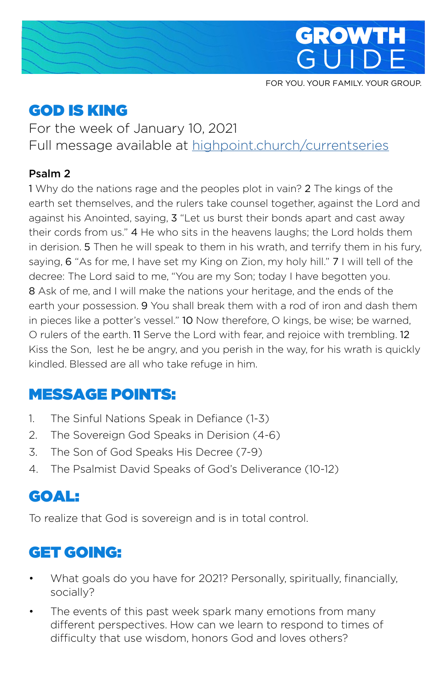

FOR YOU. YOUR FAMILY. YOUR GROUP.

# GOD IS KING

For the week of January 10, 2021 Full message available at [highpoint.church/currentseries](http://highpoint.church/currentseries)

#### Psalm 2

1 Why do the nations rage and the peoples plot in vain? 2 The kings of the earth set themselves, and the rulers take counsel together, against the Lord and against his Anointed, saying, 3 "Let us burst their bonds apart and cast away their cords from us." 4 He who sits in the heavens laughs; the Lord holds them in derision. 5 Then he will speak to them in his wrath, and terrify them in his fury, saying, 6 "As for me, I have set my King on Zion, my holy hill." 7 I will tell of the decree: The Lord said to me, "You are my Son; today I have begotten you. 8 Ask of me, and I will make the nations your heritage, and the ends of the earth your possession. 9 You shall break them with a rod of iron and dash them in pieces like a potter's vessel." 10 Now therefore, O kings, be wise; be warned, O rulers of the earth. 11 Serve the Lord with fear, and rejoice with trembling. 12 Kiss the Son, lest he be angry, and you perish in the way, for his wrath is quickly kindled. Blessed are all who take refuge in him.

## MESSAGE POINTS:

- 1. The Sinful Nations Speak in Defiance (1-3)
- 2. The Sovereign God Speaks in Derision (4-6)
- 3. The Son of God Speaks His Decree (7-9)
- 4. The Psalmist David Speaks of God's Deliverance (10-12)

## GOAL:

To realize that God is sovereign and is in total control.

# GET GOING:

- What goals do you have for 2021? Personally, spiritually, financially, socially?
- The events of this past week spark many emotions from many different perspectives. How can we learn to respond to times of difficulty that use wisdom, honors God and loves others?